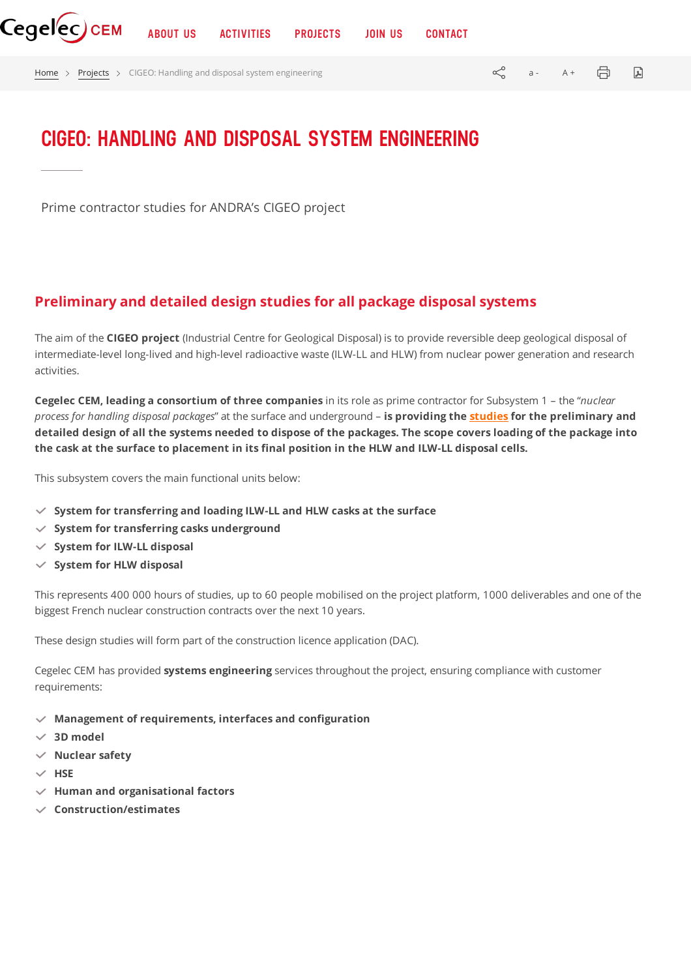[Home](https://www.cegelec-cem.fr/en/homepage/) > [Projects](https://www.cegelec-cem.fr/projects/) > CIGEO: Handling and disposal system engineering  $\ll^{\infty}$  a - A +  $\Box$ 

## **CIGEO: HANDLING AND DISPOSAL SYSTEM ENGINEERING**

Prime contractor studies for ANDRA's CIGEO project

## **Preliminary and detailed design studies for all package disposal systems**

The aim of the **CIGEO project** (Industrial Centre for Geological Disposal) is to provide reversible deep geological disposal of intermediate-level long-lived and high-level radioactive waste (ILW-LL and HLW) from nuclear power generation and research activities.

**Cegelec CEM, leading a consortium of three companies** in its role as prime contractor for Subsystem 1 – the "*nuclear process for handling disposal packages*" at the surface and underground – **is providing the [studies](https://www.cegelec-cem.fr/en/engineering-diff%e2%89%a0rently/) for the preliminary and** detailed design of all the systems needed to dispose of the packages. The scope covers loading of the package into **the cask at the surface to placement in its final position in the HLW and ILW-LL disposal cells.**

This subsystem covers the main functional units below:

- **System for transferring and loading ILW-LL and HLW casks at the surface**
- **System for transferring casks underground**
- **System for ILW-LL disposal**
- **System for HLW disposal**

This represents 400 000 hours of studies, up to 60 people mobilised on the project platform, 1000 deliverables and one of the biggest French nuclear construction contracts over the next 10 years.

These design studies will form part of the construction licence application (DAC).

Cegelec CEM has provided **systems engineering** services throughout the project, ensuring compliance with customer requirements:

- **Management of requirements, interfaces and configuration**
- **3D model**
- **Nuclear safety**
- $\vee$  HSE
- **Human and organisational factors**
- **Construction/estimates**